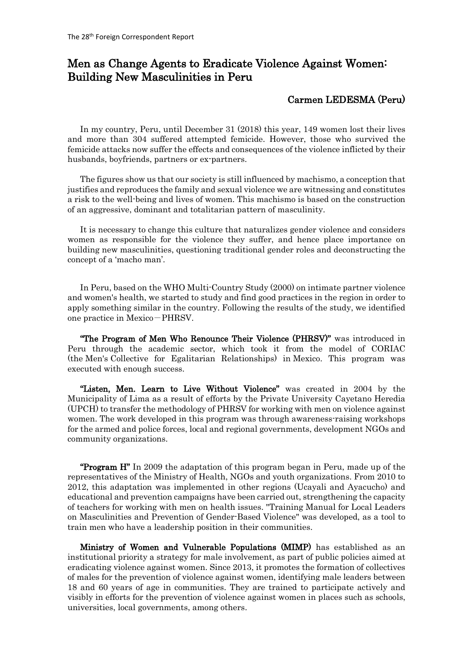## Men as Change Agents to Eradicate Violence Against Women: Building New Masculinities in Peru

## Carmen LEDESMA (Peru)

In my country, Peru, until December 31 (2018) this year, 149 women lost their lives and more than 304 suffered attempted femicide. However, those who survived the femicide attacks now suffer the effects and consequences of the violence inflicted by their husbands, boyfriends, partners or ex-partners.

The figures show us that our society is still influenced by machismo, a conception that justifies and reproduces the family and sexual violence we are witnessing and constitutes a risk to the well-being and lives of women. This machismo is based on the construction of an aggressive, dominant and totalitarian pattern of masculinity.

It is necessary to change this culture that naturalizes gender violence and considers women as responsible for the violence they suffer, and hence place importance on building new masculinities, questioning traditional gender roles and deconstructing the concept of a 'macho man'.

In Peru, based on the WHO Multi-Country Study (2000) on intimate partner violence and women's health, we started to study and find good practices in the region in order to apply something similar in the country. Following the results of the study, we identified one practice in Mexico-PHRSV.

"The Program of Men Who Renounce Their Violence (PHRSV)" was introduced in Peru through the academic sector, which took it from the model of CORIAC (the Men's Collective for Egalitarian Relationships) in Mexico. This program was executed with enough success.

"Listen, Men. Learn to Live Without Violence" was created in 2004 by the Municipality of Lima as a result of efforts by the Private University Cayetano Heredia (UPCH) to transfer the methodology of PHRSV for working with men on violence against women. The work developed in this program was through awareness-raising workshops for the armed and police forces, local and regional governments, development NGOs and community organizations.

**"Program H**" In 2009 the adaptation of this program began in Peru, made up of the representatives of the Ministry of Health, NGOs and youth organizations. From 2010 to 2012, this adaptation was implemented in other regions (Ucayali and Ayacucho) and educational and prevention campaigns have been carried out, strengthening the capacity of teachers for working with men on health issues. "Training Manual for Local Leaders on Masculinities and Prevention of Gender-Based Violence" was developed, as a tool to train men who have a leadership position in their communities.

Ministry of Women and Vulnerable Populations (MIMP) has established as an institutional priority a strategy for male involvement, as part of public policies aimed at eradicating violence against women. Since 2013, it promotes the formation of collectives of males for the prevention of violence against women, identifying male leaders between 18 and 60 years of age in communities. They are trained to participate actively and visibly in efforts for the prevention of violence against women in places such as schools, universities, local governments, among others.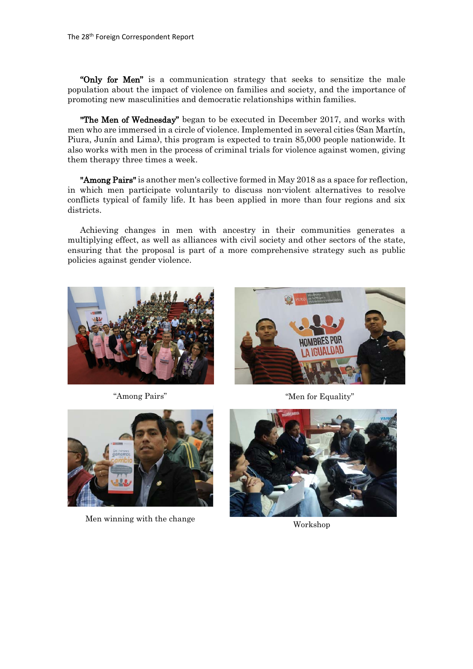"Only for Men" is a communication strategy that seeks to sensitize the male population about the impact of violence on families and society, and the importance of promoting new masculinities and democratic relationships within families.

**"The Men of Wednesday"** began to be executed in December 2017, and works with men who are immersed in a circle of violence. Implemented in several cities (San Martín, Piura, Junín and Lima), this program is expected to train 85,000 people nationwide. It also works with men in the process of criminal trials for violence against women, giving them therapy three times a week.

**"Among Pairs"** is another men's collective formed in May 2018 as a space for reflection, in which men participate voluntarily to discuss non-violent alternatives to resolve conflicts typical of family life. It has been applied in more than four regions and six districts.

Achieving changes in men with ancestry in their communities generates a multiplying effect, as well as alliances with civil society and other sectors of the state, ensuring that the proposal is part of a more comprehensive strategy such as public policies against gender violence.





"Among Pairs" "Men for Equality"



Men winning with the change Workshop